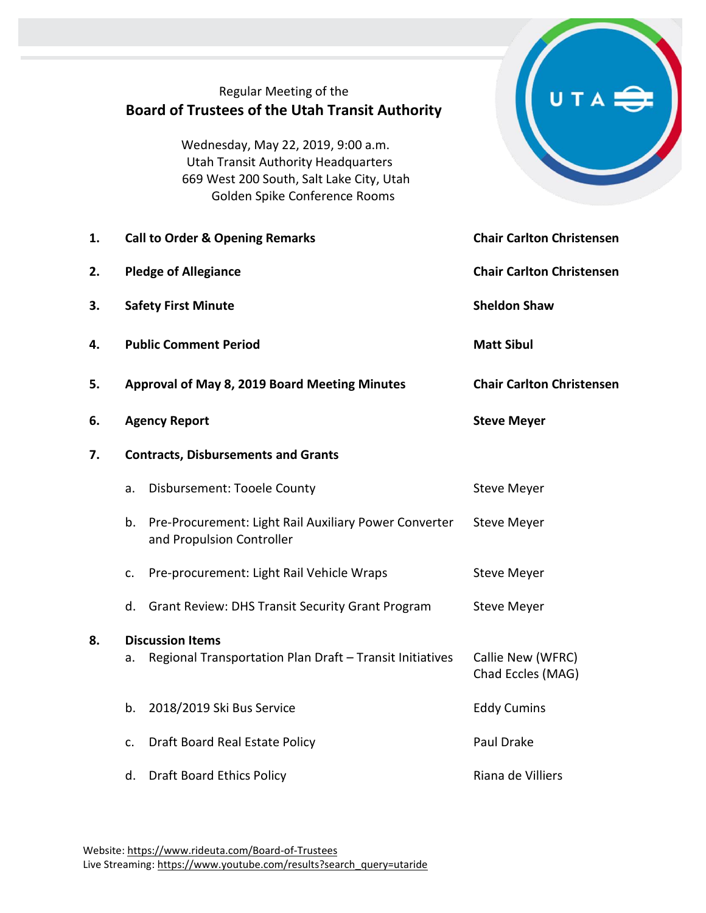|    | Regular Meeting of the<br><b>Board of Trustees of the Utah Transit Authority</b><br>Wednesday, May 22, 2019, 9:00 a.m.<br><b>Utah Transit Authority Headquarters</b><br>669 West 200 South, Salt Lake City, Utah<br>Golden Spike Conference Rooms |                                        |
|----|---------------------------------------------------------------------------------------------------------------------------------------------------------------------------------------------------------------------------------------------------|----------------------------------------|
| 1. | <b>Call to Order &amp; Opening Remarks</b>                                                                                                                                                                                                        | <b>Chair Carlton Christensen</b>       |
| 2. | <b>Pledge of Allegiance</b>                                                                                                                                                                                                                       | <b>Chair Carlton Christensen</b>       |
| 3. | <b>Safety First Minute</b>                                                                                                                                                                                                                        | <b>Sheldon Shaw</b>                    |
| 4. | <b>Public Comment Period</b>                                                                                                                                                                                                                      | <b>Matt Sibul</b>                      |
| 5. | <b>Approval of May 8, 2019 Board Meeting Minutes</b>                                                                                                                                                                                              | <b>Chair Carlton Christensen</b>       |
| 6. | <b>Agency Report</b>                                                                                                                                                                                                                              | <b>Steve Meyer</b>                     |
| 7. | <b>Contracts, Disbursements and Grants</b>                                                                                                                                                                                                        |                                        |
|    | Disbursement: Tooele County<br>a.                                                                                                                                                                                                                 | <b>Steve Meyer</b>                     |
|    | Pre-Procurement: Light Rail Auxiliary Power Converter<br>b.<br>and Propulsion Controller                                                                                                                                                          | <b>Steve Meyer</b>                     |
|    | Pre-procurement: Light Rail Vehicle Wraps<br>c.                                                                                                                                                                                                   | <b>Steve Meyer</b>                     |
|    | <b>Grant Review: DHS Transit Security Grant Program</b><br>d.                                                                                                                                                                                     | <b>Steve Meyer</b>                     |
| 8. | <b>Discussion Items</b><br>Regional Transportation Plan Draft - Transit Initiatives<br>a.                                                                                                                                                         | Callie New (WFRC)<br>Chad Eccles (MAG) |
|    | 2018/2019 Ski Bus Service<br>b.                                                                                                                                                                                                                   | <b>Eddy Cumins</b>                     |
|    | Draft Board Real Estate Policy<br>c.                                                                                                                                                                                                              | Paul Drake                             |
|    | <b>Draft Board Ethics Policy</b><br>d.                                                                                                                                                                                                            | Riana de Villiers                      |